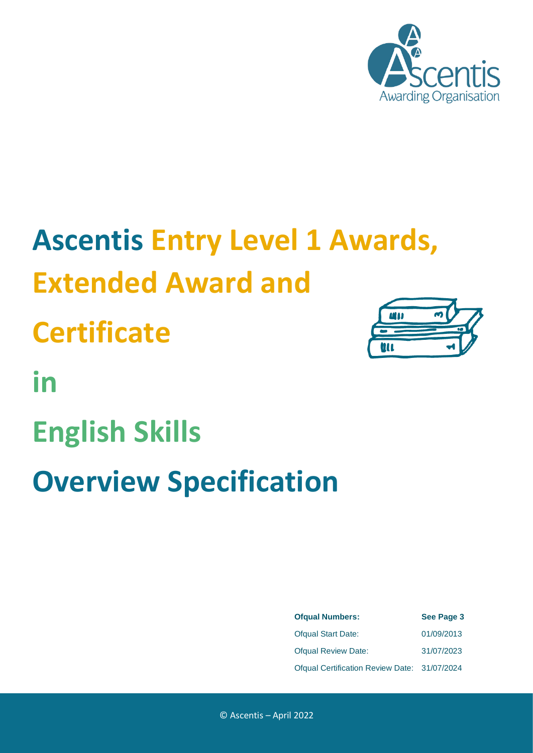

## **Ascentis Entry Level 1 Awards, Extended Award and**

**Certificate**

m **WII ULL** 

**in**

## **English Skills**

**Overview Specification**

| <b>Ofqual Numbers:</b>                       | See Page 3 |  |  |
|----------------------------------------------|------------|--|--|
| <b>Ofqual Start Date:</b>                    | 01/09/2013 |  |  |
| <b>Ofqual Review Date:</b>                   | 31/07/2023 |  |  |
| Ofqual Certification Review Date: 31/07/2024 |            |  |  |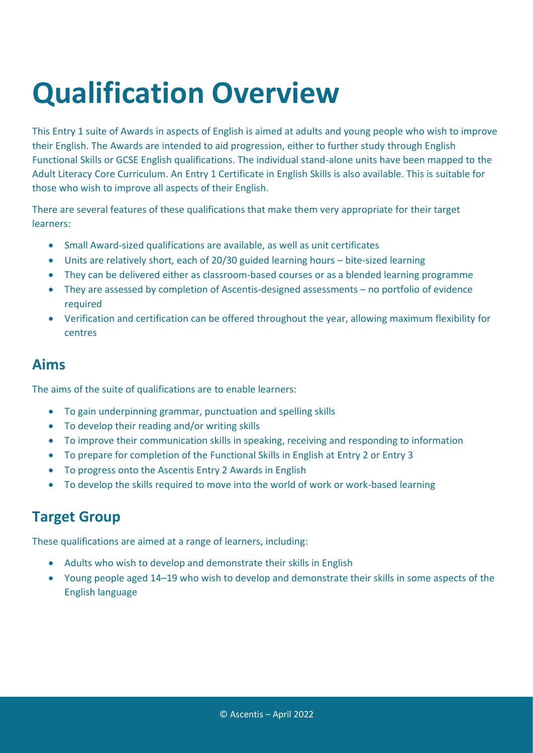# **Qualification Overview**

This Entry 1 suite of Awards in aspects of English is aimed at adults and young people who wish to improve their English. The Awards are intended to aid progression, either to further study through English Functional Skills or GCSE English qualifications. The individual stand-alone units have been mapped to the Adult Literacy Core Curriculum. An Entry 1 Certificate in English Skills is also available. This is suitable for those who wish to improve all aspects of their English.

There are several features of these qualifications that make them very appropriate for their target learners:

- Small Award-sized qualifications are available, as well as unit certificates
- Units are relatively short, each of 20/30 guided learning hours bite-sized learning
- They can be delivered either as classroom-based courses or as a blended learning programme
- They are assessed by completion of Ascentis-designed assessments no portfolio of evidence required
- Verification and certification can be offered throughout the year, allowing maximum flexibility for centres

#### **Aims**

The aims of the suite of qualifications are to enable learners:

- To gain underpinning grammar, punctuation and spelling skills
- To develop their reading and/or writing skills
- To improve their communication skills in speaking, receiving and responding to information
- To prepare for completion of the Functional Skills in English at Entry 2 or Entry 3
- To progress onto the Ascentis Entry 2 Awards in English
- To develop the skills required to move into the world of work or work-based learning

#### **Target Group**

These qualifications are aimed at a range of learners, including:

- Adults who wish to develop and demonstrate their skills in English
- Young people aged 14–19 who wish to develop and demonstrate their skills in some aspects of the English language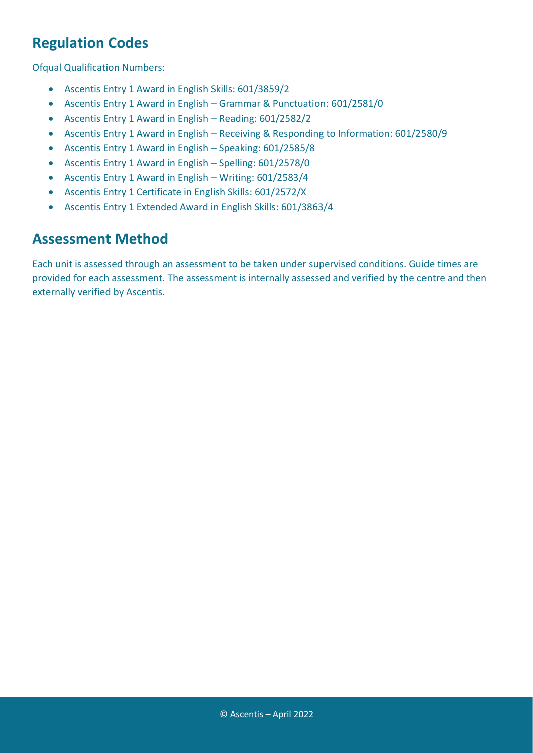### **Regulation Codes**

Ofqual Qualification Numbers:

- Ascentis Entry 1 Award in English Skills: 601/3859/2
- Ascentis Entry 1 Award in English Grammar & Punctuation: 601/2581/0
- Ascentis Entry 1 Award in English Reading: 601/2582/2
- Ascentis Entry 1 Award in English Receiving & Responding to Information: 601/2580/9
- Ascentis Entry 1 Award in English Speaking: 601/2585/8
- Ascentis Entry 1 Award in English Spelling: 601/2578/0
- Ascentis Entry 1 Award in English Writing: 601/2583/4
- Ascentis Entry 1 Certificate in English Skills: 601/2572/X
- Ascentis Entry 1 Extended Award in English Skills: 601/3863/4

#### **Assessment Method**

Each unit is assessed through an assessment to be taken under supervised conditions. Guide times are provided for each assessment. The assessment is internally assessed and verified by the centre and then externally verified by Ascentis.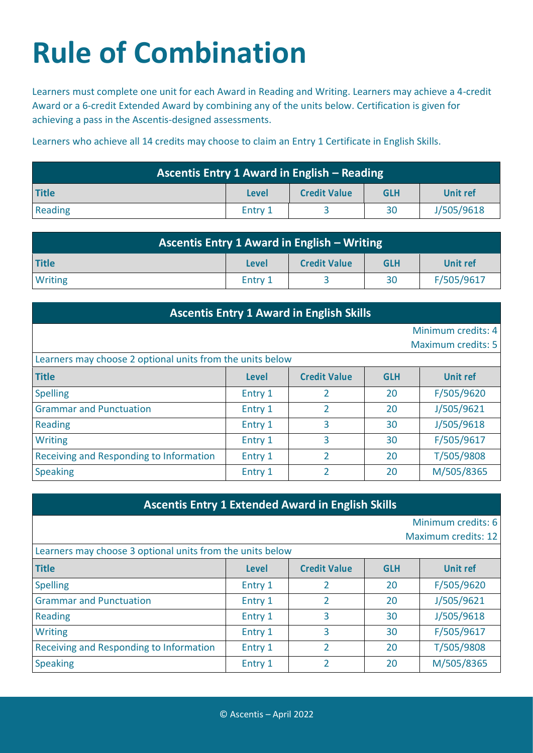# **Rule of Combination**

Learners must complete one unit for each Award in Reading and Writing. Learners may achieve a 4-credit Award or a 6-credit Extended Award by combining any of the units below. Certification is given for achieving a pass in the Ascentis-designed assessments.

Learners who achieve all 14 credits may choose to claim an Entry 1 Certificate in English Skills.

| Ascentis Entry 1 Award in English – Reading |              |                     |            |                 |
|---------------------------------------------|--------------|---------------------|------------|-----------------|
| <b>Title</b>                                | <b>Level</b> | <b>Credit Value</b> | <b>GLH</b> | <b>Unit ref</b> |
| Reading                                     | Entry 1      |                     | 30         | J/505/9618      |

| <b>Ascentis Entry 1 Award in English – Writing 1</b> |              |                     |            |            |
|------------------------------------------------------|--------------|---------------------|------------|------------|
| <b>Title</b>                                         | <b>Level</b> | <b>Credit Value</b> | <b>GLH</b> | Unit ref   |
| <b>Writing</b>                                       | Entry 1      |                     | 30         | F/505/9617 |

| <b>Ascentis Entry 1 Award in English Skills</b>           |              |                     |            |                           |
|-----------------------------------------------------------|--------------|---------------------|------------|---------------------------|
|                                                           |              |                     |            | Minimum credits: 4        |
|                                                           |              |                     |            | <b>Maximum credits: 5</b> |
| Learners may choose 2 optional units from the units below |              |                     |            |                           |
| <b>Title</b>                                              | <b>Level</b> | <b>Credit Value</b> | <b>GLH</b> | <b>Unit ref</b>           |
| <b>Spelling</b>                                           | Entry 1      | 2                   | 20         | F/505/9620                |
| <b>Grammar and Punctuation</b>                            | Entry 1      | 2                   | 20         | J/505/9621                |
| <b>Reading</b>                                            | Entry 1      | 3                   | 30         | J/505/9618                |
| <b>Writing</b>                                            | Entry 1      | 3                   | 30         | F/505/9617                |
| Receiving and Responding to Information                   | Entry 1      | 2                   | 20         | T/505/9808                |
| <b>Speaking</b>                                           | Entry 1      | C.                  | 20         | M/505/8365                |

| <b>Ascentis Entry 1 Extended Award in English Skills</b>  |              |                     |            |                            |
|-----------------------------------------------------------|--------------|---------------------|------------|----------------------------|
|                                                           |              |                     |            | Minimum credits: 6         |
|                                                           |              |                     |            | <b>Maximum credits: 12</b> |
| Learners may choose 3 optional units from the units below |              |                     |            |                            |
| <b>Title</b>                                              | <b>Level</b> | <b>Credit Value</b> | <b>GLH</b> | <b>Unit ref</b>            |
| <b>Spelling</b>                                           | Entry 1      | 2                   | 20         | F/505/9620                 |
| <b>Grammar and Punctuation</b>                            | Entry 1      | 2                   | 20         | J/505/9621                 |
| <b>Reading</b>                                            | Entry 1      | 3                   | 30         | J/505/9618                 |
| <b>Writing</b>                                            | Entry 1      | 3                   | 30         | F/505/9617                 |
| Receiving and Responding to Information                   | Entry 1      | 2                   | 20         | T/505/9808                 |
| <b>Speaking</b>                                           | Entry 1      | 2                   | 20         | M/505/8365                 |